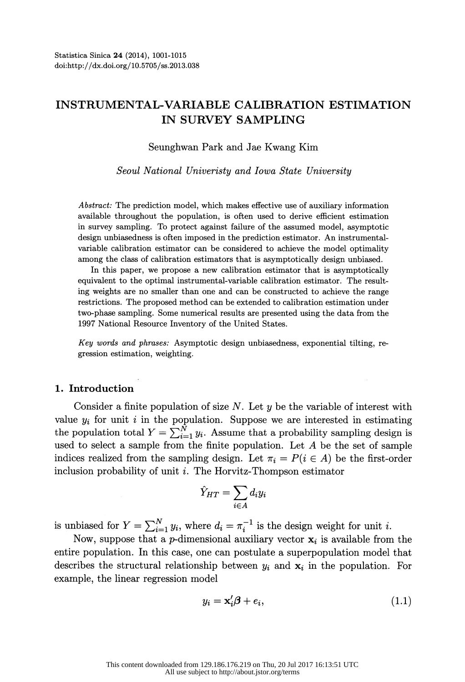# INSTRUMENTAL-VARIABLE CALIBRATION ESTIMATION IN SURVEY SAMPLING

Seunghwan Park and Jae Kwang Kim

Seoul National Univeristy and Iowa State University

 Abstract: The prediction model, which makes effective use of auxiliary information available throughout the population, is often used to derive efficient estimation in survey sampling. To protect against failure of the assumed model, asymptotic design unbiasedness is often imposed in the prediction estimator. An instrumental variable calibration estimator can be considered to achieve the model optimality among the class of calibration estimators that is asymptotically design unbiased.

 In this paper, we propose a new calibration estimator that is asymptotically equivalent to the optimal instrumental-variable calibration estimator. The result ing weights are no smaller than one and can be constructed to achieve the range restrictions. The proposed method can be extended to calibration estimation under two-phase sampling. Some numerical results are presented using the data from the 1997 National Resource Inventory of the United States.

 Key words and phrases: Asymptotic design unbiasedness, exponential tilting, re gression estimation, weighting.

## 1. Introduction

Consider a finite population of size  $N$ . Let y be the variable of interest with value  $y_i$  for unit i in the population. Suppose we are interested in estimating the population total  $Y = \sum_{i=1}^N y_i$ . Assume that a probability sampling design is used to select a sample from the finite population. Let  $A$  be the set of sample indices realized from the sampling design. Let  $\pi_i = P(i \in A)$  be the first-order inclusion probability of unit i. The Horvitz-Thompson estimator

$$
\hat{Y}_{HT} = \sum_{i \in A} d_i y_i
$$

is unbiased for  $Y = \sum_{i=1}^{N} y_i$ , where  $d_i = \pi_i^{-1}$  is the design weight for unit i.

Now, suppose that a *p*-dimensional auxiliary vector  $x_i$  is available from the entire population. In this case, one can postulate a superpopulation model that describes the structural relationship between  $y_i$  and  $\mathbf{x}_i$  in the population. For example, the linear regression model

$$
y_i = \mathbf{x}'_i \boldsymbol{\beta} + e_i,\tag{1.1}
$$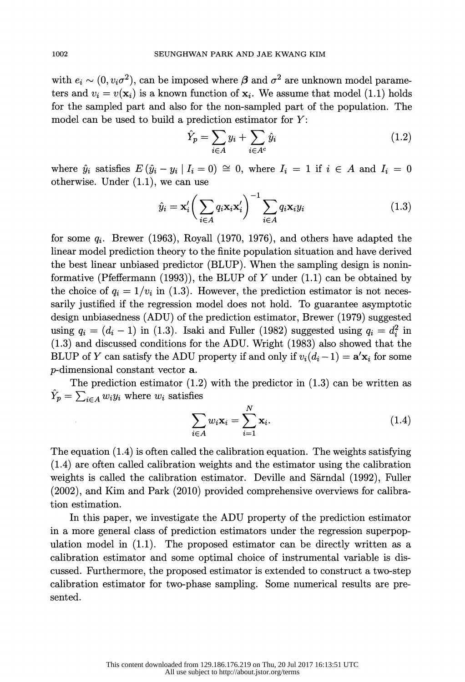with  $e_i \sim (0, v_i \sigma^2)$ , can be imposed where  $\beta$  and  $\sigma^2$  are unknown model parameters and  $v_i = v(\mathbf{x}_i)$  is a known function of  $\mathbf{x}_i$ . We assume that model (1.1) holds for the sampled part and also for the non-sampled part of the population. The model can be used to build a prediction estimator for  $Y$ :

$$
\hat{Y}_p = \sum_{i \in A} y_i + \sum_{i \in A^c} \hat{y}_i \tag{1.2}
$$

where  $\hat{y}_i$  satisfies  $E(\hat{y}_i - y_i \mid I_i = 0) \cong 0$ , where  $I_i = 1$  if  $i \in A$  and  $I_i = 0$ otherwise. Under (1.1), we can use

$$
\hat{y}_i = \mathbf{x}'_i \bigg( \sum_{i \in A} q_i \mathbf{x}_i \mathbf{x}'_i \bigg)^{-1} \sum_{i \in A} q_i \mathbf{x}_i y_i \tag{1.3}
$$

for some  $q_i$ . Brewer (1963), Royall (1970, 1976), and others have adapted the linear model prediction theory to the finite population situation and have derived the best linear unbiased predictor (BLUP). When the sampling design is nonin formative (Pfeffermann (1993)), the BLUP of Y under  $(1.1)$  can be obtained by the choice of  $q_i = 1/v_i$  in (1.3). However, the prediction estimator is not neces sarily justified if the regression model does not hold. To guarantee asymptotic design unbiasedness (ADU) of the prediction estimator, Brewer (1979) suggested using  $q_i = (d_i - 1)$  in (1.3). Isaki and Fuller (1982) suggested using  $q_i = d_i^2$  in (1.3) and discussed conditions for the ADU. Wright (1983) also showed that the BLUP of Y can satisfy the ADU property if and only if  $v_i(d_i - 1) = \mathbf{a}'\mathbf{x}_i$  for some p-dimensional constant vector a.

The prediction estimator  $(1.2)$  with the predictor in  $(1.3)$  can be written as  $\hat{Y}_p = \sum_{i \in A} w_i y_i$  where  $w_i$  satisfies

$$
\sum_{i \in A} w_i \mathbf{x}_i = \sum_{i=1}^N \mathbf{x}_i.
$$
 (1.4)

The equation  $(1.4)$  is often called the calibration equation. The weights satisfying (1.4) are often called calibration weights and the estimator using the calibration weights is called the calibration estimator. Deville and Särndal (1992), Fuller (2002), and Kim and Park (2010) provided comprehensive overviews for calibra tion estimation.

 In this paper, we investigate the ADU property of the prediction estimator in a more general class of prediction estimators under the regression superpop ulation model in  $(1.1)$ . The proposed estimator can be directly written as a calibration estimator and some optimal choice of instrumental variable is dis cussed. Furthermore, the proposed estimator is extended to construct a two-step calibration estimator for two-phase sampling. Some numerical results are pre sented.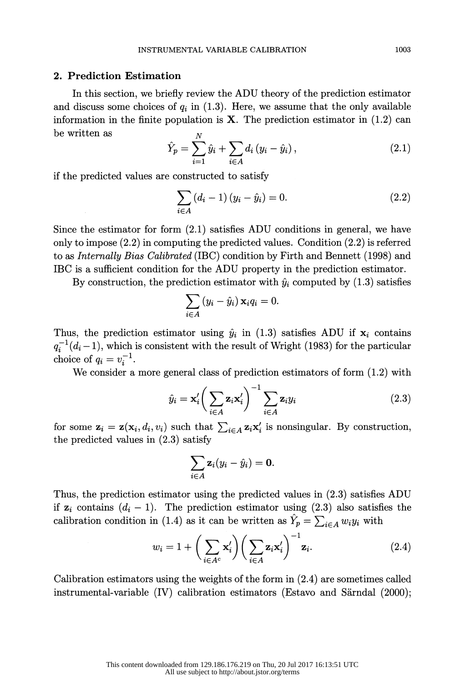# 2. Prediction Estimation

 In this section, we briefly review the ADU theory of the prediction estimator and discuss some choices of  $q_i$  in (1.3). Here, we assume that the only available information in the finite population is  $X$ . The prediction estimator in  $(1.2)$  can be written as

$$
\hat{Y}_p = \sum_{i=1}^{N} \hat{y}_i + \sum_{i \in A} d_i (y_i - \hat{y}_i), \qquad (2.1)
$$

if the predicted values are constructed to satisfy

$$
\sum_{i \in A} (d_i - 1) (y_i - \hat{y}_i) = 0.
$$
 (2.2)

 Since the estimator for form (2.1) satisfies ADU conditions in general, we have only to impose (2.2) in computing the predicted values. Condition (2.2) is referred to as Internally Bias Calibrated (IBC) condition by Firth and Bennett (1998) and IBC is a sufficient condition for the ADU property in the prediction estimator.

By construction, the prediction estimator with  $\hat{y}_i$  computed by (1.3) satisfies

$$
\sum_{i\in A} \left(y_i - \hat{y}_i\right) \mathbf{x}_i q_i = 0.
$$

Thus, the prediction estimator using  $\hat{y}_i$  in (1.3) satisfies ADU if  $x_i$  contains  $q_i^{-1}(d_i-1)$ , which is consistent with the result of Wright (1983) for the particular choice of  $q_i = v_i^{-1}$ .

We consider a more general class of prediction estimators of form (1.2) with

$$
\hat{y}_i = \mathbf{x}'_i \bigg( \sum_{i \in A} \mathbf{z}_i \mathbf{x}'_i \bigg)^{-1} \sum_{i \in A} \mathbf{z}_i y_i \tag{2.3}
$$

for some  $\mathbf{z}_i = \mathbf{z}(\mathbf{x}_i, d_i, v_i)$  such that  $\sum_{i \in A} \mathbf{z}_i \mathbf{x}'_i$  is nonsingular. By construction, the predicted values in (2.3) satisfy

$$
\sum_{i\in A} \mathbf{z}_i (y_i - \hat{y}_i) = \mathbf{0}.
$$

 Thus, the prediction estimator using the predicted values in (2.3) satisfies ADU if  $z_i$  contains  $(d_i - 1)$ . The prediction estimator using (2.3) also satisfies the calibration condition in (1.4) as it can be written as  $\hat{Y}_p = \sum_{i \in A} w_i y_i$  with

$$
w_i = 1 + \left(\sum_{i \in A^c} \mathbf{x}'_i\right) \left(\sum_{i \in A} \mathbf{z}_i \mathbf{x}'_i\right)^{-1} \mathbf{z}_i.
$$
 (2.4)

 Calibration estimators using the weights of the form in (2.4) are sometimes called instrumental-variable (IV) calibration estimators (Estavo and Sàrndal (2000);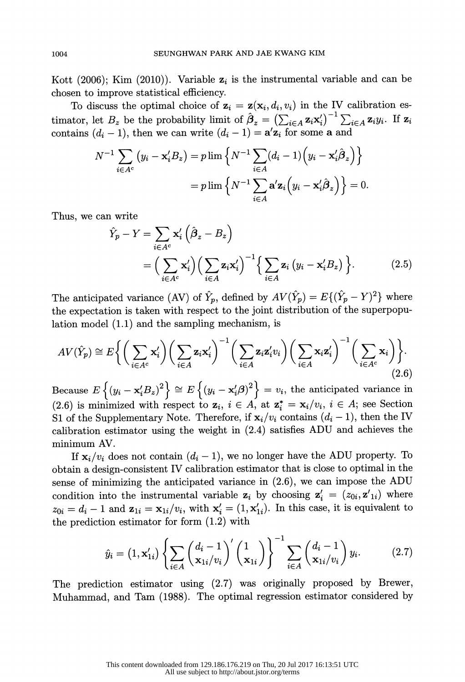Kott (2006); Kim (2010)). Variable  $z_i$  is the instrumental variable and can be chosen to improve statistical efficiency.

To discuss the optimal choice of  $z_i = z(x_i, d_i, v_i)$  in the IV calibration estimator, let  $B_z$  be the probability limit of  $\hat{\beta}_z = \left(\sum_{i \in A} \mathbf{z}_i \mathbf{x}'_i\right)^{-1} \sum_{i \in A} \mathbf{z}_i y_i$ . If  $\mathbf{z}_i$ contains  $(d_i - 1)$ , then we can write  $(d_i - 1) = \mathbf{a}'\mathbf{z}_i$  for some a and

$$
N^{-1} \sum_{i \in A^c} (y_i - \mathbf{x}_i' B_z) = p \lim \left\{ N^{-1} \sum_{i \in A} (d_i - 1) \left( y_i - \mathbf{x}_i' \hat{\beta}_z \right) \right\}
$$

$$
= p \lim \left\{ N^{-1} \sum_{i \in A} \mathbf{a}' \mathbf{z}_i \left( y_i - \mathbf{x}_i' \hat{\beta}_z \right) \right\} = 0.
$$
Thus, we can write

$$
= p \lim_{i \in A} \{ N^{-1} \sum_{i \in A} a z_i (y_i - x_i B_z) \} = 0.
$$
  
\n1 write  
\n
$$
\hat{Y}_p - Y = \sum_{i \in A^c} x'_i \left( \hat{\beta}_z - B_z \right)
$$
  
\n
$$
= \Big( \sum_{i \in A^c} x'_i \Big) \Big( \sum_{i \in A} z_i x'_i \Big)^{-1} \Big\{ \sum_{i \in A} z_i (y_i - x'_i B_z) \Big\}.
$$
 (2.5)

The anticipated variance (AV) of  $\hat{Y}_p$ , defined by  $AV(\hat{Y}_p) = E\{(\hat{Y}_p - Y)^2\}$  where the expectation is taken with respect to the joint distribution of the superpopu lation model (1.1) and the sampling mechanism, is

function model (1.1) and the sampling mechanism, is

\n
$$
AV(\hat{Y}_p) \cong E\bigg\{\bigg(\sum_{i \in A^c} \mathbf{x}'_i\bigg) \bigg(\sum_{i \in A} \mathbf{z}_i \mathbf{x}'_i\bigg)^{-1} \bigg(\sum_{i \in A} \mathbf{z}_i \mathbf{z}'_i v_i\bigg) \bigg(\sum_{i \in A} \mathbf{x}_i \mathbf{z}'_i\bigg)^{-1} \bigg(\sum_{i \in A^c} \mathbf{x}_i\bigg)\bigg\}.
$$
\n(2.6)

Because  $E\left\{(y_i - x_i^{\prime}B_z)^2\right\} \cong E\left\{(y_i - x_i^{\prime}\beta)^2\right\} = v_i$ , the anticipated variance in (2.6) is minimized with respect to  $z_i$ ,  $i \in A$ , at  $z_i^* = x_i/v_i$ ,  $i \in A$ ; see Section S1 of the Supplementary Note. Therefore, if  $\mathbf{x}_i/v_i$  contains  $(d_i - 1)$ , then the IV calibration estimator using the weight in (2.4) satisfies ADU and achieves the minimum AV.

If  $\mathbf{x}_i/v_i$  does not contain  $(d_i - 1)$ , we no longer have the ADU property. To obtain a design-consistent IV calibration estimator that is close to optimal in the sense of minimizing the anticipated variance in (2.6), we can impose the ADU condition into the instrumental variable  $z_i$  by choosing  $z'_i = (z_{0i}, z'_{1i})$  where  $z_{0i} = d_i - 1$  and  $\mathbf{z}_{1i} = \mathbf{x}_{1i}/v_i$ , with  $\mathbf{x}'_i = (1, \mathbf{x}'_{1i})$ . In this case, it is equivalent to the prediction estimator for form (1.2) with

$$
\hat{y}_i = (1, \mathbf{x}_{1i}') \left\{ \sum_{i \in A} \left( \frac{d_i - 1}{\mathbf{x}_{1i}/v_i} \right)' \left( \frac{1}{\mathbf{x}_{1i}} \right) \right\}^{-1} \sum_{i \in A} \left( \frac{d_i - 1}{\mathbf{x}_{1i}/v_i} \right) y_i.
$$
 (2.7)

 The prediction estimator using (2.7) was originally proposed by Brewer, Muhammad, and Tam (1988). The optimal regression estimator considered by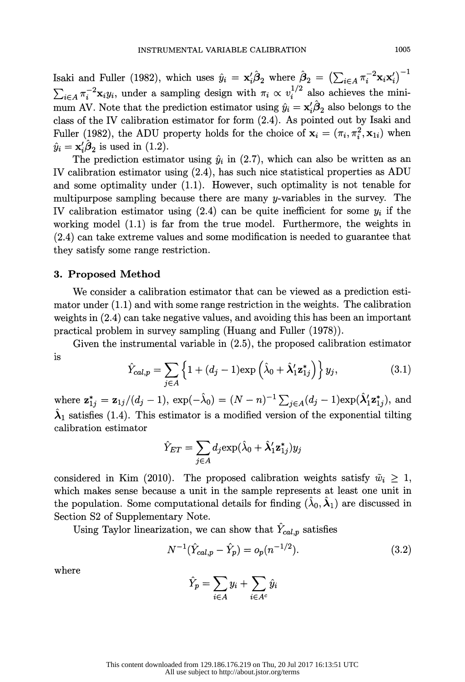Isaki and Fuller (1982), which uses  $\hat{y}_i = \mathbf{x}_i' \hat{\boldsymbol{\beta}}_2$  where  $\hat{\boldsymbol{\beta}}_2 = \left(\sum_{i \in A} \pi_i^{-2} \mathbf{x}_i \mathbf{x}_i'\right)^{-1}$  $\sum_{i\in A} \pi_i^{-2} \mathbf{x}_i y_i$ , under a sampling design with  $\pi_i \propto v_i^{1/2}$  also achieves the minimum AV. Note that the prediction estimator using  $\hat{y}_i = \mathbf{x}'_i \hat{\boldsymbol{\beta}}_2$  also belongs to the class of the IV calibration estimator for form (2.4). As pointed out by Isaki and Fuller (1982), the ADU property holds for the choice of  $\mathbf{x}_i = (\pi_i,\pi_i^2,\mathbf{x}_{1i})$  when  $\hat{y}_i = \mathbf{x}'_i \hat{\boldsymbol{\beta}}_2$  is used in (1.2).

The prediction estimator using  $\hat{y}_i$  in (2.7), which can also be written as an IV calibration estimator using (2.4), has such nice statistical properties as ADU and some optimality under (1.1). However, such optimality is not tenable for multipurpose sampling because there are many y-variables in the survey. The IV calibration estimator using  $(2.4)$  can be quite inefficient for some  $y_i$  if the working model (1.1) is far from the true model. Furthermore, the weights in (2.4) can take extreme values and some modification is needed to guarantee that they satisfy some range restriction.

### 3. Proposed Method

 We consider a calibration estimator that can be viewed as a prediction esti mator under (1.1) and with some range restriction in the weights. The calibration weights in (2.4) can take negative values, and avoiding this has been an important practical problem in survey sampling (Huang and Fuller (1978)).

 Given the instrumental variable in (2.5), the proposed calibration estimator is

$$
\hat{Y}_{cal,p} = \sum_{j \in A} \left\{ 1 + (d_j - 1) \exp\left(\hat{\lambda}_0 + \hat{\lambda}_1' \mathbf{z}_{1j}^*\right) \right\} y_j,\tag{3.1}
$$

where  $\mathbf{z}_{1j}^* = \mathbf{z}_{1j}/(d_j - 1)$ ,  $\exp(-\hat{\lambda}_0) = (N - n)^{-1} \sum_{j \in A} (d_j - 1) \exp(\hat{\lambda}_1'\mathbf{z}_{1j}^*),$  and  $\hat{\lambda}_1$  satisfies (1.4). This estimator is a modified version of the exponential tilting calibration estimator

$$
\hat{Y}_{ET} = \sum_{j \in A} d_j \text{exp}(\hat{\lambda}_0 + \hat{\boldsymbol{\lambda}}_1' \mathbf{z}_{1j}^*) y_j
$$

considered in Kim (2010). The proposed calibration weights satisfy  $\tilde{w}_i > 1$ , which makes sense because a unit in the sample represents at least one unit in the population. Some computational details for finding  $(\lambda_0, \lambda_1)$  are discussed in Section S2 of Supplementary Note.

Using Taylor linearization, we can show that  $\hat{Y}_{cal,p}$  satisfies

$$
N^{-1}(\hat{Y}_{cal,p} - \hat{Y}_p) = o_p(n^{-1/2}).
$$
\n(3.2)

where

$$
\hat{Y}_p = \sum_{i \in A} y_i + \sum_{i \in A^c} \hat{y}_i
$$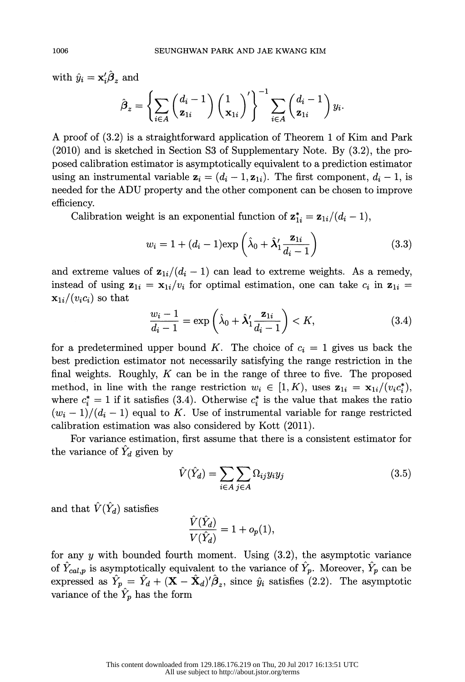with  $\hat{y}_i = \mathbf{x}'_i \hat{\boldsymbol{\beta}}_z$  and

$$
\hat{\boldsymbol{\beta}}_z = \left\{ \sum_{i \in A} \binom{d_i - 1}{\mathbf{z}_{1i}} \binom{1}{\mathbf{x}_{1i}}' \right\}^{-1} \sum_{i \in A} \binom{d_i - 1}{\mathbf{z}_{1i}} y_i.
$$

 A proof of (3.2) is a straightforward application of Theorem 1 of Kim and Park (2010) and is sketched in Section S3 of Supplementary Note. By (3.2), the pro posed calibration estimator is asymptotically equivalent to a prediction estimator using an instrumental variable  $z_i = (d_i - 1, z_{1i})$ . The first component,  $d_i - 1$ , is needed for the ADU property and the other component can be chosen to improve efficiency.

Calibration weight is an exponential function of  $z_{1i}^* = z_{1i}/(d_i - 1)$ ,

$$
w_i = 1 + (d_i - 1) \exp\left(\hat{\lambda}_0 + \hat{\lambda}'_1 \frac{\mathbf{z}_{1i}}{d_i - 1}\right) \tag{3.3}
$$

and extreme values of  $z_{1i}/(d_i - 1)$  can lead to extreme weights. As a remedy, instead of using  $z_{1i} = x_{1i}/v_i$  for optimal estimation, one can take  $c_i$  in  $z_{1i} =$  $\mathbf{x}_{1i}/(v_i c_i)$  so that

$$
\frac{w_i - 1}{d_i - 1} = \exp\left(\hat{\lambda}_0 + \hat{\lambda}_1' \frac{\mathbf{z}_{1i}}{d_i - 1}\right) < K,\tag{3.4}
$$

for a predetermined upper bound K. The choice of  $c_i = 1$  gives us back the best prediction estimator not necessarily satisfying the range restriction in the final weights. Roughly,  $K$  can be in the range of three to five. The proposed method, in line with the range restriction  $w_i \in [1, K)$ , uses  $\mathbf{z}_{1i} = \mathbf{x}_{1i}/(v_i c_i^*),$ where  $c_i^* = 1$  if it satisfies (3.4). Otherwise  $c_i^*$  is the value that makes the ratio  $(w_i - 1)/(d_i - 1)$  equal to K. Use of instrumental variable for range restricted calibration estimation was also considered by Kott (2011).

 For variance estimation, first assume that there is a consistent estimator for the variance of  $\tilde{Y}_d$  given by

$$
\hat{V}(\hat{Y}_d) = \sum_{i \in A} \sum_{j \in A} \Omega_{ij} y_i y_j \tag{3.5}
$$

and that  $\hat{V}(\hat{Y}_d)$  satisfies

$$
\frac{\hat{V}(\hat{Y}_d)}{V(\hat{Y}_d)} = 1 + o_p(1),
$$

for any y with bounded fourth moment. Using  $(3.2)$ , the asymptotic variance of  $\hat{Y}_{cal,p}$  is asymptotically equivalent to the variance of  $\hat{Y}_p$ . Moreover,  $\hat{Y}_p$  can be expressed as  $\hat{Y}_p = \hat{Y}_d + (\mathbf{X} - \hat{\mathbf{X}}_d)^t \hat{\boldsymbol{\beta}}_z$ , since  $\hat{y}_i$  satisfies (2.2). The asymptotic variance of the  $\hat{Y}_p$  has the form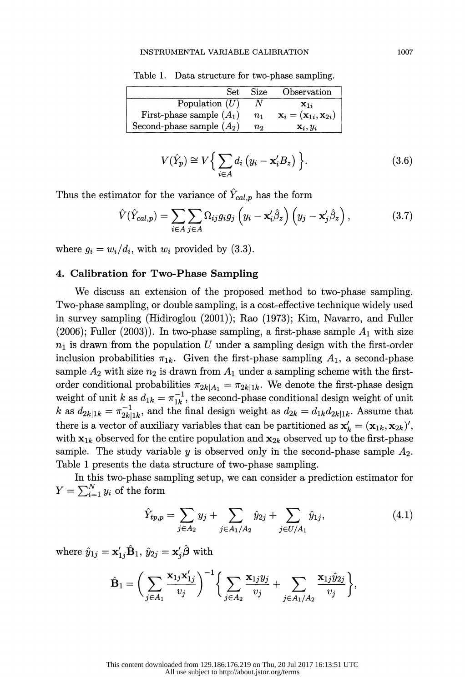#### INSTRUMENTAL VARIABLE CALIBRATION 1007

| Set.                        | Size    | Observation                                         |
|-----------------------------|---------|-----------------------------------------------------|
| Population $(U)$            |         | $X_{1i}$                                            |
| First-phase sample $(A_1)$  | $n_{1}$ | $\mathbf{x}_i = (\mathbf{x}_{1i}, \mathbf{x}_{2i})$ |
| Second-phase sample $(A_2)$ | $n_{2}$ | $\mathbf{x}_i, y_i$                                 |

Table 1. Data structure for two-phase sampling.

$$
V(\hat{Y}_p) \cong V\Big\{\sum_{i\in A} d_i \left(y_i - \mathbf{x}'_i B_z\right)\Big\}.
$$
 (3.6)

Thus the estimator for the variance of  $\hat{Y}_{cal,p}$  has the form

$$
\hat{V}(\hat{Y}_{cal,p}) = \sum_{i \in A} \sum_{j \in A} \Omega_{ij} g_i g_j \left( y_i - \mathbf{x}_i' \hat{\beta}_z \right) \left( y_j - \mathbf{x}_j' \hat{\beta}_z \right),\tag{3.7}
$$

where  $q_i = w_i/d_i$ , with  $w_i$  provided by (3.3).

## 4. Calibration for Two-Phase Sampling

 We discuss an extension of the proposed method to two-phase sampling. Two-phase sampling, or double sampling, is a cost-effective technique widely used in survey sampling (Hidiroglou (2001)); Rao (1973); Kim, Navarro, and Fuller (2006); Fuller (2003)). In two-phase sampling, a first-phase sample  $A_1$  with size  $n_1$  is drawn from the population U under a sampling design with the first-order inclusion probabilities  $\pi_{1k}$ . Given the first-phase sampling  $A_1$ , a second-phase sample  $A_2$  with size  $n_2$  is drawn from  $A_1$  under a sampling scheme with the firstorder conditional probabilities  $\pi_{2k|A_1} = \pi_{2k|1k}$ . We denote the first-phase design weight of unit k as  $d_{1k} = \pi_{1k}^{-1}$ , the second-phase conditional design weight of unit k as  $d_{2k|1k} = \pi_{2k|1k}^{-1}$ , and the final design weight as  $d_{2k} = d_{1k}d_{2k|1k}$ . Assume that there is a vector of auxiliary variables that can be partitioned as  $\mathbf{x}'_k = (\mathbf{x}_{1k}, \mathbf{x}_{2k})'$ , with  $x_{1k}$  observed for the entire population and  $x_{2k}$  observed up to the first-phase sample. The study variable  $y$  is observed only in the second-phase sample  $A_2$ . Table 1 presents the data structure of two-phase sampling.

 In this two-phase sampling setup, we can consider a prediction estimator for  $Y = \sum_{i=1}^N y_i$  of the form

$$
\hat{Y}_{tp,p} = \sum_{j \in A_2} y_j + \sum_{j \in A_1/A_2} \hat{y}_{2j} + \sum_{j \in U/A_1} \hat{y}_{1j}, \tag{4.1}
$$

where  $\hat{y}_{1j} = \mathbf{x}'_{1j} \hat{\mathbf{B}}_1$ ,  $\hat{y}_{2j} = \mathbf{x}'_j \hat{\boldsymbol{\beta}}$  with

$$
\hat{\mathbf{B}}_1 = \bigg(\sum_{j \in A_1} \frac{\mathbf{x}_{1j} \mathbf{x}'_{1j}}{v_j}\bigg)^{-1} \bigg\{\sum_{j \in A_2} \frac{\mathbf{x}_{1j} y_j}{v_j} + \sum_{j \in A_1/A_2} \frac{\mathbf{x}_{1j} \hat{y}_{2j}}{v_j}\bigg\},\
$$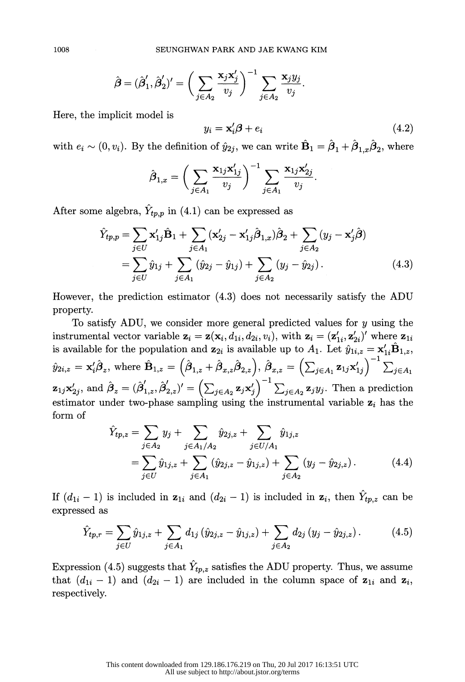$$
\hat{\boldsymbol{\beta}}=(\hat{\boldsymbol{\beta}}_1',\hat{\boldsymbol{\beta}}_2')'=\bigg(\sum_{j\in A_2}\frac{\mathbf{x}_j\mathbf{x}_j'}{v_j}\bigg)^{-1}\sum_{j\in A_2}\frac{\mathbf{x}_jy_j}{v_j}.
$$

Here, the implicit model is

$$
y_i = \mathbf{x}'_i \boldsymbol{\beta} + e_i \tag{4.2}
$$

with  $e_i \sim (0, v_i)$ . By the definition of  $\hat{y}_{2i}$ , we can write  $\hat{\mathbf{B}}_1 = \hat{\boldsymbol{\beta}}_1 + \hat{\boldsymbol{\beta}}_{1,x} \hat{\boldsymbol{\beta}}_2$ , where

$$
\hat{\boldsymbol{\beta}}_{1,x} = \bigg(\sum_{j\in A_1} \frac{\mathbf{x}_{1j}\mathbf{x}'_{1j}}{v_j}\bigg)^{-1} \sum_{j\in A_1} \frac{\mathbf{x}_{1j}\mathbf{x}'_{2j}}{v_j}.
$$

After some algebra,  $\hat{Y}_{tp,p}$  in (4.1) can be expressed as

$$
\hat{Y}_{tp,p} = \sum_{j \in U} \mathbf{x}'_{1j} \hat{\mathbf{B}}_1 + \sum_{j \in A_1} (\mathbf{x}'_{2j} - \mathbf{x}'_{1j} \hat{\boldsymbol{\beta}}_{1,x}) \hat{\boldsymbol{\beta}}_2 + \sum_{j \in A_2} (y_j - \mathbf{x}'_j \hat{\boldsymbol{\beta}})
$$
\n
$$
= \sum_{j \in U} \hat{y}_{1j} + \sum_{j \in A_1} (\hat{y}_{2j} - \hat{y}_{1j}) + \sum_{j \in A_2} (y_j - \hat{y}_{2j}).
$$
\n(4.3)

 However, the prediction estimator (4.3) does not necessarily satisfy the ADU property.

To satisfy ADU, we consider more general predicted values for  $y$  using the instrumental vector variable  $\mathbf{z}_i = \mathbf{z}(\mathbf{x}_i, d_{1i}, d_{2i}, v_i)$ , with  $\mathbf{z}_i = (\mathbf{z}'_{1i}, \mathbf{z}'_{2i})'$  where  $\mathbf{z}_{1i}$ is available for the population and  $z_{2i}$  is available up to  $A_1$ . Let  $\hat{y}_{1i,z} = x'_{1i} \hat{B}_{1,z}$ ,  $\hat{y}_{2i,z} = \mathbf{x}_i' \hat{\boldsymbol{\beta}}_z$ , where  $\hat{\mathbf{B}}_{1,z} = (\hat{\boldsymbol{\beta}}_{1,z} + \hat{\boldsymbol{\beta}}_{x,z} \hat{\boldsymbol{\beta}}_{2,z}), \hat{\boldsymbol{\beta}}_{x,z} = (\sum_{j \in A_1} \mathbf{z}_{1j} \mathbf{x}_{1j}')^{-1} \sum_{j \in A_1}$  $\mathbf{z}_{1j}\mathbf{x}'_{2j}$ , and  $\hat{\boldsymbol{\beta}}_z = (\hat{\boldsymbol{\beta}}'_{1,z}, \hat{\boldsymbol{\beta}}'_{2,z})' = \left(\sum_{j\in A_2} \mathbf{z}_j\mathbf{x}'_j\right)^{-1} \sum_{j\in A_2} \mathbf{z}_jy_j$ . Then a prediction estimator under two-phase sampling using the instrumental variable  $z_i$  has the form of

$$
\hat{Y}_{tp,z} = \sum_{j \in A_2} y_j + \sum_{j \in A_1/A_2} \hat{y}_{2j,z} + \sum_{j \in U/A_1} \hat{y}_{1j,z} \n= \sum_{j \in U} \hat{y}_{1j,z} + \sum_{j \in A_1} (\hat{y}_{2j,z} - \hat{y}_{1j,z}) + \sum_{j \in A_2} (y_j - \hat{y}_{2j,z}).
$$
\n(4.4)

If  $(d_{1i} - 1)$  is included in  $z_{1i}$  and  $(d_{2i} - 1)$  is included in  $z_i$ , then  $\hat{Y}_{tp,z}$  can be If  $(d_{1i} - 1)$  is included in  $z_{1i}$  and  $(d_{2i})$ <br>expressed as

$$
\hat{Y}_{tp,r} = \sum_{j \in U} \hat{y}_{1j,z} + \sum_{j \in A_1} d_{1j} \left( \hat{y}_{2j,z} - \hat{y}_{1j,z} \right) + \sum_{j \in A_2} d_{2j} \left( y_j - \hat{y}_{2j,z} \right). \tag{4.5}
$$

Expression (4.5) suggests that  $\hat{Y}_{tp,z}$  satisfies the ADU property. Thus, we assume<br>that  $(d_{11}, -1)$  and  $(d_{21}, -1)$  are included in the column grace of  $\sigma_{11}$  and  $\sigma_{12}$ Expression (4.5) suggests that  $\hat{Y}_{tp,z}$  satisfies the ADU property. Thus, we assume that  $(d_{1i} - 1)$  and  $(d_{2i} - 1)$  are included in the column space of  $z_{1i}$  and  $z_i$ , respectively. that  $(d_{1i} - 1)$  and  $(d_{2i} - 1)$  are included in the column space of  $z_{1i}$  and  $z_i$ , respectively.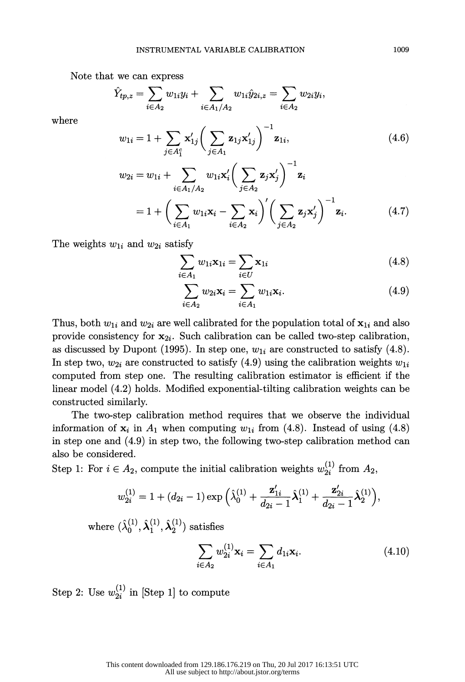Note that we can express

$$
\hat{Y}_{tp,z} = \sum_{i \in A_2} w_{1i} y_i + \sum_{i \in A_1/A_2} w_{1i} \hat{y}_{2i,z} = \sum_{i \in A_2} w_{2i} y_i,
$$

where

$$
w_{1i} = 1 + \sum_{j \in A_1^c} \mathbf{x}'_{1j} \bigg( \sum_{j \in A_1} \mathbf{z}_{1j} \mathbf{x}'_{1j} \bigg)^{-1} \mathbf{z}_{1i},
$$
(4.6)

$$
w_{2i} = w_{1i} + \sum_{i \in A_1/A_2} w_{1i} \mathbf{x}'_i \bigg( \sum_{j \in A_2} \mathbf{z}_j \mathbf{x}'_j \bigg) \quad \mathbf{z}_i
$$
  
= 1 + \bigg( \sum\_{i \in A\_1} w\_{1i} \mathbf{x}\_i - \sum\_{i \in A\_2} \mathbf{x}\_i \bigg)' \bigg( \sum\_{j \in A\_2} \mathbf{z}\_j \mathbf{x}'\_j \bigg)^{-1} \mathbf{z}\_i. \tag{4.7}

The weights  $w_{1i}$  and  $w_{2i}$  satisfy

$$
\sum_{i \in A_1} w_{1i} \mathbf{x}_{1i} = \sum_{i \in U} \mathbf{x}_{1i} \tag{4.8}
$$

$$
\sum_{i \in A_2} w_{2i} \mathbf{x}_i = \sum_{i \in A_1} w_{1i} \mathbf{x}_i.
$$
 (4.9)

Thus, both  $w_{1i}$  and  $w_{2i}$  are well calibrated for the population total of  $x_{1i}$  and also provide consistency for  $x_{2i}$ . Such calibration can be called two-step calibration, as discussed by Dupont (1995). In step one,  $w_{1i}$  are constructed to satisfy (4.8). In step two,  $w_{2i}$  are constructed to satisfy (4.9) using the calibration weights  $w_{1i}$  computed from step one. The resulting calibration estimator is efficient if the linear model (4.2) holds. Modified exponential-tilting calibration weights can be constructed similarly.

 The two-step calibration method requires that we observe the individual information of  $\mathbf{x}_i$  in  $A_1$  when computing  $w_{1i}$  from (4.8). Instead of using (4.8) in step one and (4.9) in step two, the following two-step calibration method can also be considered.

Step 1: For  $i \in A_2$ , compute the initial calibration weights  $w_{2i}^{(1)}$  from  $A_2$ ,

$$
w_{2i}^{(1)} = 1 + (d_{2i} - 1) \exp\left(\hat{\lambda}_0^{(1)} + \frac{\mathbf{z}_{1i}'}{d_{2i} - 1}\hat{\lambda}_1^{(1)} + \frac{\mathbf{z}_{2i}'}{d_{2i} - 1}\hat{\lambda}_2^{(1)}\right),
$$

where  $(\hat{\lambda}_0^{(1)}, \hat{\lambda}_1^{(1)}, \hat{\lambda}_2^{(1)})$  satisfies

$$
\sum_{i \in A_2} w_{2i}^{(1)} \mathbf{x}_i = \sum_{i \in A_1} d_{1i} \mathbf{x}_i.
$$
 (4.10)

Step 2: Use  $w_{2i}^{(1)}$  in [Step 1] to compute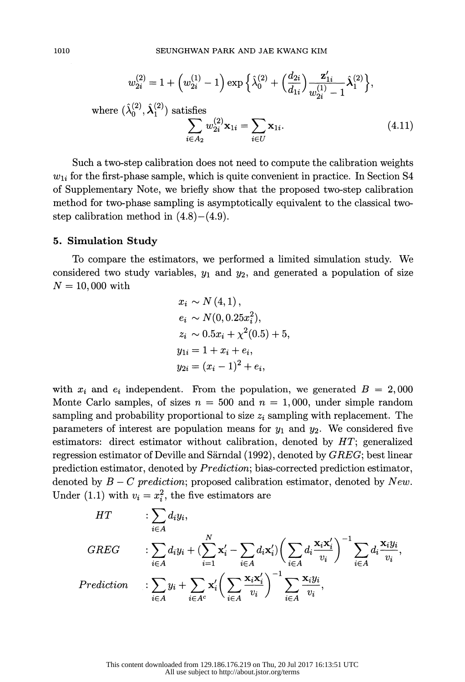$$
w_{2i}^{(2)} = 1 + \left(w_{2i}^{(1)} - 1\right) \exp\left\{\hat{\lambda}_0^{(2)} + \left(\frac{d_{2i}}{d_{1i}}\right) \frac{\mathbf{z}_{1i}'}{w_{2i}^{(1)} - 1} \hat{\lambda}_1^{(2)}\right\},\
$$
  
where  $(\hat{\lambda}_0^{(2)}, \hat{\lambda}_1^{(2)})$  satisfies  

$$
\sum_{i \in A_2} w_{2i}^{(2)} \mathbf{x}_{1i} = \sum_{i \in U} \mathbf{x}_{1i}.
$$
 (4.11)

 Such a two-step calibration does not need to compute the calibration weights  $w_{1i}$  for the first-phase sample, which is quite convenient in practice. In Section S4 of Supplementary Note, we briefly show that the proposed two-step calibration method for two-phase sampling is asymptotically equivalent to the classical two step calibration method in  $(4.8)$  –  $(4.9)$ .

#### 5. Simulation Study

 To compare the estimators, we performed a limited simulation study. We considered two study variables,  $y_1$  and  $y_2$ , and generated a population of size  $N = 10,000$  with

$$
x_i \sim N(4, 1),
$$
  
\n
$$
e_i \sim N(0, 0.25x_i^2),
$$
  
\n
$$
z_i \sim 0.5x_i + \chi^2(0.5) + 5
$$
  
\n
$$
y_{1i} = 1 + x_i + e_i,
$$
  
\n
$$
y_{2i} = (x_i - 1)^2 + e_i,
$$

with  $x_i$  and  $e_i$  independent. From the population, we generated  $B = 2,000$ Monte Carlo samples, of sizes  $n = 500$  and  $n = 1,000$ , under simple random sampling and probability proportional to size  $z_i$  sampling with replacement. The parameters of interest are population means for  $y_1$  and  $y_2$ . We considered five estimators: direct estimator without calibration, denoted by HT; generalized regression estimator of Deville and Särndal (1992), denoted by GREG; best linear prediction estimator, denoted by *Prediction*; bias-corrected prediction estimator, denoted by  $B - C$  prediction; proposed calibration estimator, denoted by New. Under (1.1) with  $v_i = x_i^2$ , the five estimators are

$$
HT \qquad : \sum_{i \in A} d_i y_i,
$$
\n
$$
GREG \qquad : \sum_{i \in A} d_i y_i + (\sum_{i=1}^N \mathbf{x}'_i - \sum_{i \in A} d_i \mathbf{x}'_i) \left(\sum_{i \in A} d_i \frac{\mathbf{x}_i \mathbf{x}'_i}{v_i}\right)^{-1} \sum_{i \in A} d_i \frac{\mathbf{x}_i y_i}{v_i},
$$
\n
$$
Prediction \qquad : \sum_{i \in A} y_i + \sum_{i \in A} \mathbf{x}'_i \left(\sum_{i \in A} \frac{\mathbf{x}_i \mathbf{x}'_i}{v_i}\right)^{-1} \sum_{i \in A} \frac{\mathbf{x}_i y_i}{v_i},
$$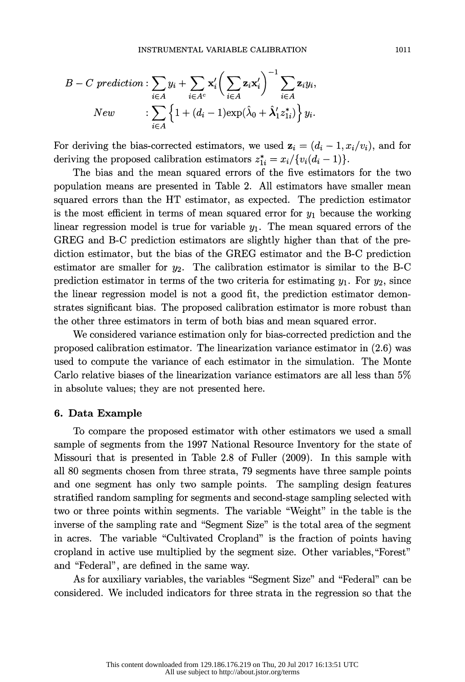$$
B-C\,\,prediction: \sum_{i\in A} y_i + \sum_{i\in A^c} \mathbf{x}_i' \bigg(\sum_{i\in A} \mathbf{z}_i \mathbf{x}_i'\bigg)^{-1} \sum_{i\in A} \mathbf{z}_i y_i,
$$
  
\n
$$
New \qquad : \sum_{i\in A} \left\{1 + (d_i - 1) \exp(\hat{\lambda}_0 + \hat{\lambda}_1' z_{1i}^*)\right\} y_i.
$$

For deriving the bias-corrected estimators, we used  $z_i = (d_i - 1, x_i/v_i)$ , and for deriving the proposed calibration estimators  $z_{1i}^* = x_i / \{v_i(d_i - 1)\}.$ 

 The bias and the mean squared errors of the five estimators for the two population means are presented in Table 2. All estimators have smaller mean squared errors than the HT estimator, as expected. The prediction estimator is the most efficient in terms of mean squared error for  $y_1$  because the working linear regression model is true for variable  $y_1$ . The mean squared errors of the GREG and B-C prediction estimators are slightly higher than that of the pre diction estimator, but the bias of the GREG estimator and the B-C prediction estimator are smaller for  $y_2$ . The calibration estimator is similar to the B-C prediction estimator in terms of the two criteria for estimating  $y_1$ . For  $y_2$ , since the linear regression model is not a good fit, the prediction estimator demon strates significant bias. The proposed calibration estimator is more robust than the other three estimators in term of both bias and mean squared error.

 We considered variance estimation only for bias-corrected prediction and the proposed calibration estimator. The linearization variance estimator in (2.6) was used to compute the variance of each estimator in the simulation. The Monte Carlo relative biases of the linearization variance estimators are all less than 5% in absolute values; they are not presented here.

#### 6. Data Example

 To compare the proposed estimator with other estimators we used a small sample of segments from the 1997 National Resource Inventory for the state of Missouri that is presented in Table 2.8 of Fuller (2009). In this sample with all 80 segments chosen from three strata, 79 segments have three sample points and one segment has only two sample points. The sampling design features stratified random sampling for segments and second-stage sampling selected with two or three points within segments. The variable "Weight" in the table is the inverse of the sampling rate and "Segment Size" is the total area of the segment in acres. The variable "Cultivated Cropland" is the fraction of points having cropland in active use multiplied by the segment size. Other variables, "Forest" and "Federal", are defined in the same way.

 As for auxiliary variables, the variables "Segment Size" and "Federal" can be considered. We included indicators for three strata in the regression so that the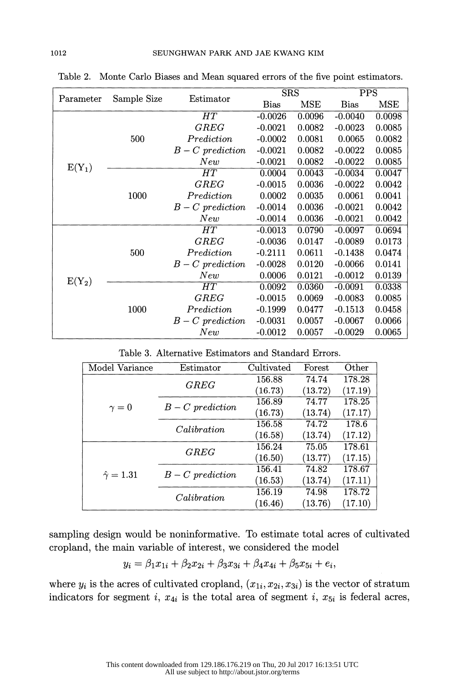|           | Sample Size<br>Estimator | <b>SRS</b>       |           | <b>PPS</b>  |            |        |
|-----------|--------------------------|------------------|-----------|-------------|------------|--------|
| Parameter |                          | <b>Bias</b>      | MSE       | <b>Bias</b> | <b>MSE</b> |        |
| $E(Y_1)$  | 500                      | HT               | $-0.0026$ | 0.0096      | $-0.0040$  | 0.0098 |
|           |                          | GREG             | $-0.0021$ | 0.0082      | $-0.0023$  | 0.0085 |
|           |                          | Prediction       | $-0.0002$ | 0.0081      | 0.0065     | 0.0082 |
|           |                          | $B-C$ prediction | $-0.0021$ | 0.0082      | $-0.0022$  | 0.0085 |
|           |                          | New              | $-0.0021$ | 0.0082      | $-0.0022$  | 0.0085 |
|           | 1000                     | HT               | 0.0004    | 0.0043      | $-0.0034$  | 0.0047 |
|           |                          | ${\it GREG}$     | $-0.0015$ | 0.0036      | $-0.0022$  | 0.0042 |
|           |                          | Prediction       | 0.0002    | 0.0035      | 0.0061     | 0.0041 |
|           |                          | $B-C$ prediction | $-0.0014$ | 0.0036      | $-0.0021$  | 0.0042 |
|           |                          | New              | $-0.0014$ | 0.0036      | $-0.0021$  | 0.0042 |
| $E(Y_2)$  | 500                      | HT               | $-0.0013$ | 0.0790      | $-0.0097$  | 0.0694 |
|           |                          | ${\it GREG}$     | $-0.0036$ | 0.0147      | $-0.0089$  | 0.0173 |
|           |                          | Prediction       | $-0.2111$ | 0.0611      | $-0.1438$  | 0.0474 |
|           |                          | $B-C$ prediction | $-0.0028$ | 0.0120      | $-0.0066$  | 0.0141 |
|           |                          | New              | 0.0006    | 0.0121      | $-0.0012$  | 0.0139 |
|           | 1000                     | HT               | 0.0092    | 0.0360      | $-0.0091$  | 0.0338 |
|           |                          | ${\it GREG}$     | $-0.0015$ | 0.0069      | $-0.0083$  | 0.0085 |
|           |                          | Prediction       | $-0.1999$ | 0.0477      | $-0.1513$  | 0.0458 |
|           |                          | $B-C$ prediction | $-0.0031$ | 0.0057      | $-0.0067$  | 0.0066 |
|           |                          | New              | $-0.0012$ | 0.0057      | $-0.0029$  | 0.0065 |

Table 2. Monte Carlo Biases and Mean squared errors of the five point estimators.

| Table 3. Alternative Estimators and Standard Errors. |
|------------------------------------------------------|
|------------------------------------------------------|

| Model Variance        | Estimator        | Cultivated | Forest  | Other   |
|-----------------------|------------------|------------|---------|---------|
|                       | GREG             | 156.88     | 74.74   | 178.28  |
| $\gamma = 0$          |                  | (16.73)    | (13.72) | (17.19) |
|                       | $B-C$ prediction | 156.89     | 74.77   | 178.25  |
|                       |                  | (16.73)    | (13.74) | (17.17) |
|                       | Calibration      | 156.58     | 74.72   | 178.6   |
|                       |                  | (16.58)    | (13.74) | (17.12) |
| $\hat{\gamma} = 1.31$ | GREG             | 156.24     | 75.05   | 178.61  |
|                       |                  | (16.50)    | (13.77) | (17.15) |
|                       |                  | 156.41     | 74.82   | 178.67  |
|                       | $B-C$ prediction | (16.53)    | (13.74) | (17.11) |
|                       | Calibration      | 156.19     | 74.98   | 178.72  |
|                       |                  | (16.46)    | (13.76) | (17.10) |

 sampling design would be noninformative. To estimate total acres of cultivated cropland, the main variable of interest, we considered the model

$$
y_i = \beta_1 x_{1i} + \beta_2 x_{2i} + \beta_3 x_{3i} + \beta_4 x_{4i} + \beta_5 x_{5i} + e_i,
$$

where  $y_i$  is the acres of cultivated cropland,  $(x_{1i}, x_{2i}, x_{3i})$  is the vector of stratum indicators for segment i,  $x_{4i}$  is the total area of segment i,  $x_{5i}$  is federal acres,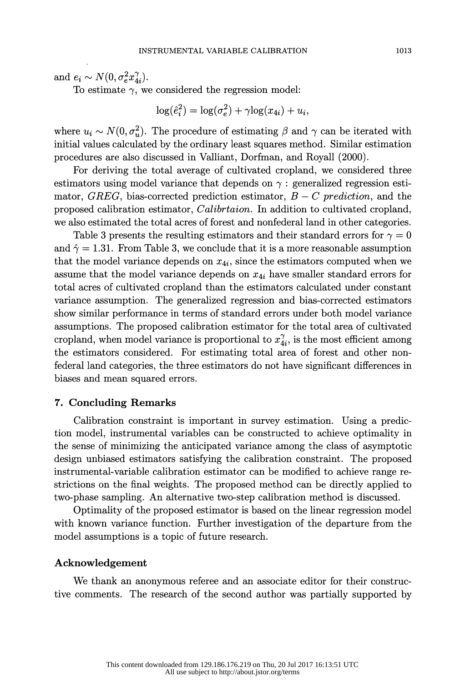and  $e_i \sim N(0, \sigma_e^2 x_{4i}^{\gamma}).$ 

To estimate  $\gamma$ , we considered the regression model:

$$
\log(\hat{e}_i^2) = \log(\sigma_e^2) + \gamma \log(x_{4i}) + u_i,
$$

where  $u_i \sim N(0, \sigma_u^2)$ . The procedure of estimating  $\beta$  and  $\gamma$  can be iterated with initial values calculated by the ordinary least squares method. Similar estimation procedures are also discussed in Valliant, Dorfman, and Royall (2000).

 For deriving the total average of cultivated cropland, we considered three estimators using model variance that depends on  $\gamma$ : generalized regression estimator, GREG, bias-corrected prediction estimator,  $B - C$  prediction, and the proposed calibration estimator, Calibrtaion. In addition to cultivated cropland, we also estimated the total acres of forest and nonfederal land in other categories.

Table 3 presents the resulting estimators and their standard errors for  $\gamma = 0$ and  $\hat{\gamma} = 1.31$ . From Table 3, we conclude that it is a more reasonable assumption that the model variance depends on  $x_{4i}$ , since the estimators computed when we assume that the model variance depends on  $x_{4i}$  have smaller standard errors for total acres of cultivated cropland than the estimators calculated under constant variance assumption. The generalized regression and bias-corrected estimators show similar performance in terms of standard errors under both model variance assumptions. The proposed calibration estimator for the total area of cultivated cropland, when model variance is proportional to  $x_{4i}^{\gamma}$ , is the most efficient among the estimators considered. For estimating total area of forest and other non federal land categories, the three estimators do not have significant differences in biases and mean squared errors.

### 7. Concluding Remarks

 Calibration constraint is important in survey estimation. Using a predic tion model, instrumental variables can be constructed to achieve optimality in the sense of minimizing the anticipated variance among the class of asymptotic design unbiased estimators satisfying the calibration constraint. The proposed instrumental-variable calibration estimator can be modified to achieve range re strictions on the final weights. The proposed method can be directly applied to two-phase sampling. An alternative two-step calibration method is discussed.

 Optimality of the proposed estimator is based on the linear regression model with known variance function. Further investigation of the departure from the model assumptions is a topic of future research.

### Acknowledgement

 We thank an anonymous referee and an associate editor for their construc tive comments. The research of the second author was partially supported by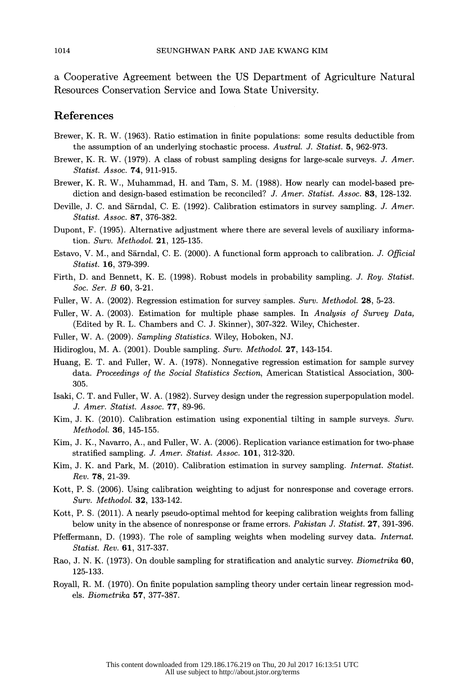a Cooperative Agreement between the US Department of Agriculture Natural Resources Conservation Service and Iowa State University.

# References

- Brewer, Κ. R. W. (1963). Ratio estimation in finite populations: some results deductible from the assumption of an underlying stochastic process. Austral. J. Statist. 5, 962-973.
- Brewer, K. R. W. (1979). A class of robust sampling designs for large-scale surveys. J. Amer. Statist. Assoc. 74, 911-915.
- Brewer, K. R. W., Muhammad, H. and Tam, S. M. (1988). How nearly can model-based pre diction and design-based estimation be reconciled? J. Amer. Statist. Assoc. 83, 128-132.
- Deville, J. C. and Sarndal, C. E. (1992). Calibration estimators in survey sampling. J. Amer. Statist. Assoc. 87, 376-382.
- Dupont, F. (1995). Alternative adjustment where there are several levels of auxiliary informa tion. Surv. Methodol. 21, 125-135.
- Estavo, V. M., and Särndal, C. E. (2000). A functional form approach to calibration. J. Official Statist. 16, 379-399.
- Firth, D. and Bennett, K. E. (1998). Robust models in probability sampling. J. Roy. Statist. Soc. Ser. Β 60, 3-21.
- Fuller, W. A. (2002). Regression estimation for survey samples. Surv. Methodol. 28, 5-23.
- Fuller, W. A. (2003). Estimation for multiple phase samples. In Analysis of Survey Data, (Edited by R. L. Chambers and C. J. Skinner), 307-322. Wiley, Chichester.
- Fuller, W. A. (2009). Sampling Statistics. Wiley, Hoboken, NJ.
- Hidiroglou, M. A. (2001). Double sampling. Surv. Methodol. 27, 143-154.
- Huang, Ε. T. and Fuller, W. A. (1978). Nonnegative regression estimation for sample survey data. Proceedings of the Social Statistics Section, American Statistical Association, 300-305.
- Isaki, C. T. and Fuller, W. A. (1982). Survey design under the regression superpopulation model. J. Amer. Statist. Assoc. 77, 89-96.
- Kim, J. K. (2010). Calibration estimation using exponential tilting in sample surveys. Surv. Methodol. 36, 145-155.
- Kim, J. K., Navarro, Α., and Puller, W. A. (2006). Replication variance estimation for two-phase stratified sampling. J. Amer. Statist. Assoc. 101, 312-320.
- Kim, J. K. and Park, M. (2010). Calibration estimation in survey sampling. Internat. Statist. Rev. 78, 21-39.
- Kott, P. S. (2006). Using calibration weighting to adjust for nonresponse and coverage errors. Surv. Methodol. 32, 133-142.
- Kott, P. S. (2011). A nearly pseudo-optimal mehtod for keeping calibration weights from falling below unity in the absence of nonresponse or frame errors. *Pakistan J. Statist.* 27, 391-396.
- Pfeffermann, D. (1993). The role of sampling weights when modeling survey data. Internat. Statist. Rev. 61, 317-337.
- Rao, J. N. K. (1973). On double sampling for stratification and analytic survey. Biometrika 60, 125-133.
- Royall, R. M. (1970). On finite population sampling theory under certain linear regression mod els. Biometrika 57, 377-387.